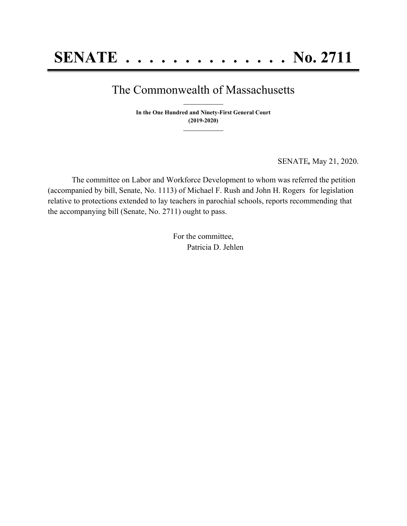## The Commonwealth of Massachusetts **\_\_\_\_\_\_\_\_\_\_\_\_\_\_\_**

**In the One Hundred and Ninety-First General Court (2019-2020) \_\_\_\_\_\_\_\_\_\_\_\_\_\_\_**

SENATE*,* May 21, 2020.

The committee on Labor and Workforce Development to whom was referred the petition (accompanied by bill, Senate, No. 1113) of Michael F. Rush and John H. Rogers for legislation relative to protections extended to lay teachers in parochial schools, reports recommending that the accompanying bill (Senate, No. 2711) ought to pass.

> For the committee, Patricia D. Jehlen